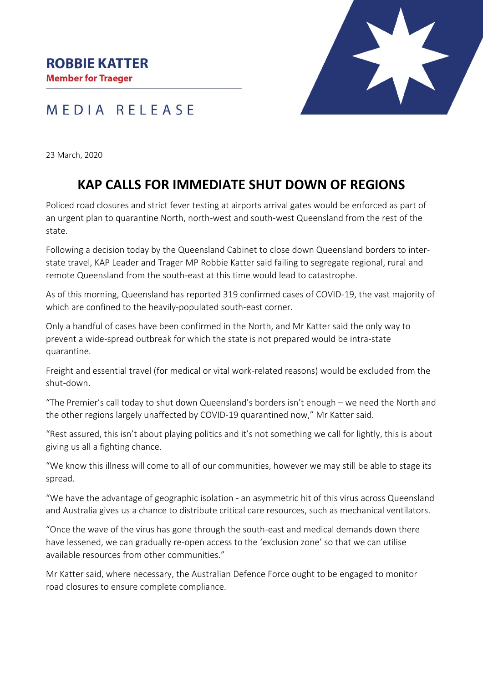

## MEDIA RELEASE

23 March, 2020

## **KAP CALLS FOR IMMEDIATE SHUT DOWN OF REGIONS**

Policed road closures and strict fever testing at airports arrival gates would be enforced as part of an urgent plan to quarantine North, north-west and south-west Queensland from the rest of the state.

Following a decision today by the Queensland Cabinet to close down Queensland borders to interstate travel, KAP Leader and Trager MP Robbie Katter said failing to segregate regional, rural and remote Queensland from the south-east at this time would lead to catastrophe.

As of this morning, Queensland has reported 319 confirmed cases of COVID-19, the vast majority of which are confined to the heavily-populated south-east corner.

Only a handful of cases have been confirmed in the North, and Mr Katter said the only way to prevent a wide-spread outbreak for which the state is not prepared would be intra-state quarantine.

Freight and essential travel (for medical or vital work-related reasons) would be excluded from the shut-down.

"The Premier's call today to shut down Queensland's borders isn't enough – we need the North and the other regions largely unaffected by COVID-19 quarantined now," Mr Katter said.

"Rest assured, this isn't about playing politics and it's not something we call for lightly, this is about giving us all a fighting chance.

"We know this illness will come to all of our communities, however we may still be able to stage its spread.

"We have the advantage of geographic isolation - an asymmetric hit of this virus across Queensland and Australia gives us a chance to distribute critical care resources, such as mechanical ventilators.

"Once the wave of the virus has gone through the south-east and medical demands down there have lessened, we can gradually re-open access to the 'exclusion zone' so that we can utilise available resources from other communities."

Mr Katter said, where necessary, the Australian Defence Force ought to be engaged to monitor road closures to ensure complete compliance.